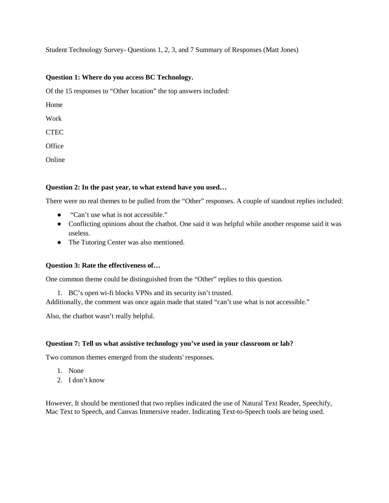Student Technology Survey- Questions 1, 2, 3, and 7 Summary of Responses (Matt Jones)

## **Question 1: Where do you access BC Technology.**

Of the 15 responses to "Other location" the top answers included:

Home

Work

**CTEC** 

**Office** 

Online

## **Question 2: In the past year, to what extend have you used…**

There were no real themes to be pulled from the "Other" responses. A couple of standout replies included:

- "Can't use what is not accessible."
- Conflicting opinions about the chatbot. One said it was helpful while another response said it was useless.
- The Tutoring Center was also mentioned.

#### **Question 3: Rate the effectiveness of…**

One common theme could be distinguished from the "Other" replies to this question.

1. BC's open wi-fi blocks VPNs and its security isn't trusted.

Additionally, the comment was once again made that stated "can't use what is not accessible."

Also, the chatbot wasn't really helpful.

#### **Question 7: Tell us what assistive technology you've used in your classroom or lab?**

Two common themes emerged from the students' responses.

- 1. None
- 2. I don't know

However, It should be mentioned that two replies indicated the use of Natural Text Reader, Speechify, Mac Text to Speech, and Canvas Immersive reader. Indicating Text-to-Speech tools are being used.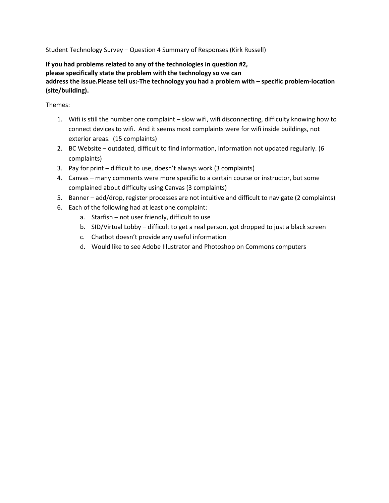Student Technology Survey – Question 4 Summary of Responses (Kirk Russell)

**If you had problems related to any of the technologies in question #2, please specifically state the problem with the technology so we can address the issue.Please tell us:-The technology you had a problem with – specific problem-location (site/building).**

Themes:

- 1. Wifi is still the number one complaint slow wifi, wifi disconnecting, difficulty knowing how to connect devices to wifi. And it seems most complaints were for wifi inside buildings, not exterior areas. (15 complaints)
- 2. BC Website outdated, difficult to find information, information not updated regularly. (6 complaints)
- 3. Pay for print difficult to use, doesn't always work (3 complaints)
- 4. Canvas many comments were more specific to a certain course or instructor, but some complained about difficulty using Canvas (3 complaints)
- 5. Banner add/drop, register processes are not intuitive and difficult to navigate (2 complaints)
- 6. Each of the following had at least one complaint:
	- a. Starfish not user friendly, difficult to use
	- b. SID/Virtual Lobby difficult to get a real person, got dropped to just a black screen
	- c. Chatbot doesn't provide any useful information
	- d. Would like to see Adobe Illustrator and Photoshop on Commons computers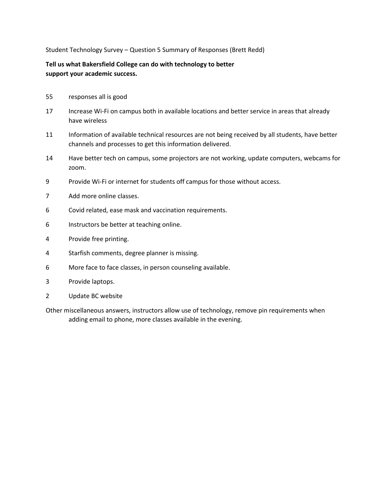Student Technology Survey – Question 5 Summary of Responses (Brett Redd)

**Tell us what Bakersfield College can do with technology to better support your academic success.**

- 55 responses all is good
- 17 Increase Wi-Fi on campus both in available locations and better service in areas that already have wireless
- 11 Information of available technical resources are not being received by all students, have better channels and processes to get this information delivered.
- 14 Have better tech on campus, some projectors are not working, update computers, webcams for zoom.
- 9 Provide Wi-Fi or internet for students off campus for those without access.
- 7 Add more online classes.
- 6 Covid related, ease mask and vaccination requirements.
- 6 Instructors be better at teaching online.
- 4 Provide free printing.
- 4 Starfish comments, degree planner is missing.
- 6 More face to face classes, in person counseling available.
- 3 Provide laptops.
- 2 Update BC website
- Other miscellaneous answers, instructors allow use of technology, remove pin requirements when adding email to phone, more classes available in the evening.